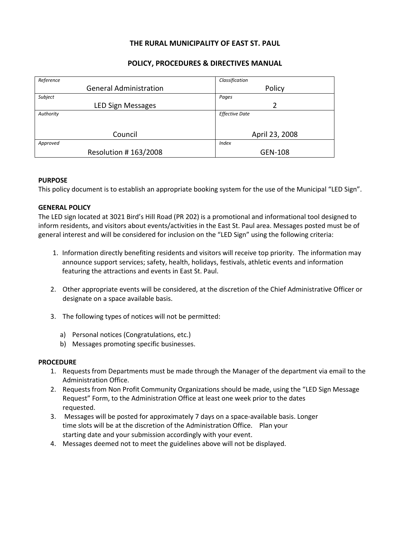### THE RURAL MUNICIPALITY OF EAST ST. PAUL

# POLICY, PROCEDURES & DIRECTIVES MANUAL

| Reference                     | Classification        |
|-------------------------------|-----------------------|
| <b>General Administration</b> | Policy                |
| Subject                       | Pages                 |
| LED Sign Messages             | 2                     |
| Authority                     | <b>Effective Date</b> |
|                               |                       |
| Council                       | April 23, 2008        |
| Approved                      | <b>Index</b>          |
| Resolution #163/2008          | GEN-108               |

### PURPOSE

This policy document is to establish an appropriate booking system for the use of the Municipal "LED Sign".

### GENERAL POLICY

The LED sign located at 3021 Bird's Hill Road (PR 202) is a promotional and informational tool designed to inform residents, and visitors about events/activities in the East St. Paul area. Messages posted must be of general interest and will be considered for inclusion on the "LED Sign" using the following criteria:

- 1. Information directly benefiting residents and visitors will receive top priority. The information may announce support services; safety, health, holidays, festivals, athletic events and information featuring the attractions and events in East St. Paul.
- 2. Other appropriate events will be considered, at the discretion of the Chief Administrative Officer or designate on a space available basis.
- 3. The following types of notices will not be permitted:
	- a) Personal notices (Congratulations, etc.)
	- b) Messages promoting specific businesses.

# **PROCEDURE**

- 1. Requests from Departments must be made through the Manager of the department via email to the Administration Office.
- 2. Requests from Non Profit Community Organizations should be made, using the "LED Sign Message Request" Form, to the Administration Office at least one week prior to the dates requested.
- 3. Messages will be posted for approximately 7 days on a space-available basis. Longer time slots will be at the discretion of the Administration Office. Plan your starting date and your submission accordingly with your event.
- 4. Messages deemed not to meet the guidelines above will not be displayed.